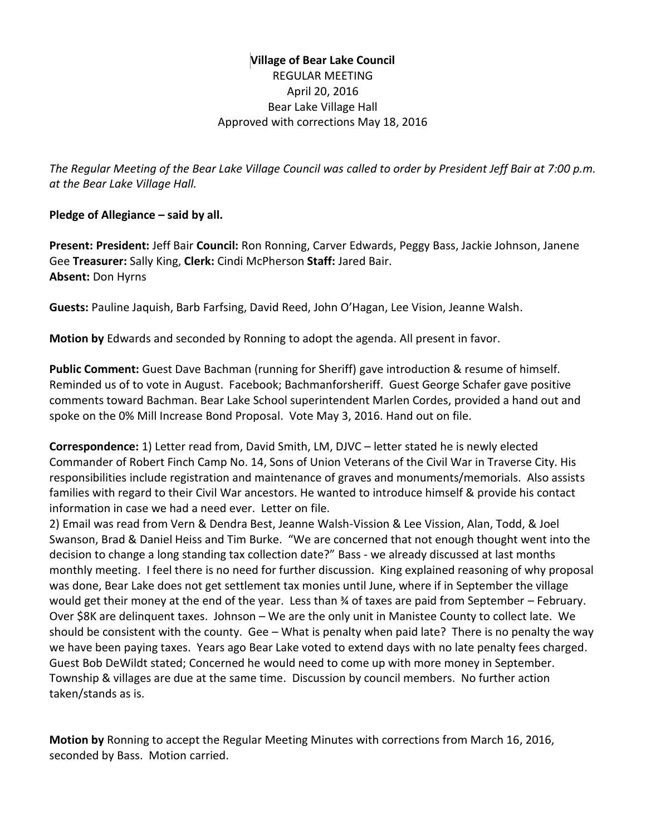# **Village of Bear Lake Council** REGULAR MEETING April 20, 2016 Bear Lake Village Hall Approved with corrections May 18, 2016

*The Regular Meeting of the Bear Lake Village Council was called to order by President Jeff Bair at 7:00 p.m. at the Bear Lake Village Hall.*

#### **Pledge of Allegiance – said by all.**

**Present: President:** Jeff Bair **Council:** Ron Ronning, Carver Edwards, Peggy Bass, Jackie Johnson, Janene Gee **Treasurer:** Sally King, **Clerk:** Cindi McPherson **Staff:** Jared Bair. **Absent:** Don Hyrns

**Guests:** Pauline Jaquish, Barb Farfsing, David Reed, John O'Hagan, Lee Vision, Jeanne Walsh.

**Motion by** Edwards and seconded by Ronning to adopt the agenda. All present in favor.

**Public Comment:** Guest Dave Bachman (running for Sheriff) gave introduction & resume of himself. Reminded us of to vote in August. Facebook; Bachmanforsheriff. Guest George Schafer gave positive comments toward Bachman. Bear Lake School superintendent Marlen Cordes, provided a hand out and spoke on the 0% Mill Increase Bond Proposal. Vote May 3, 2016. Hand out on file.

**Correspondence:** 1) Letter read from, David Smith, LM, DJVC – letter stated he is newly elected Commander of Robert Finch Camp No. 14, Sons of Union Veterans of the Civil War in Traverse City. His responsibilities include registration and maintenance of graves and monuments/memorials. Also assists families with regard to their Civil War ancestors. He wanted to introduce himself & provide his contact information in case we had a need ever. Letter on file.

2) Email was read from Vern & Dendra Best, Jeanne Walsh-Vission & Lee Vission, Alan, Todd, & Joel Swanson, Brad & Daniel Heiss and Tim Burke. "We are concerned that not enough thought went into the decision to change a long standing tax collection date?" Bass - we already discussed at last months monthly meeting. I feel there is no need for further discussion. King explained reasoning of why proposal was done, Bear Lake does not get settlement tax monies until June, where if in September the village would get their money at the end of the year. Less than ¾ of taxes are paid from September – February. Over \$8K are delinquent taxes. Johnson – We are the only unit in Manistee County to collect late. We should be consistent with the county. Gee – What is penalty when paid late? There is no penalty the way we have been paying taxes. Years ago Bear Lake voted to extend days with no late penalty fees charged. Guest Bob DeWildt stated; Concerned he would need to come up with more money in September. Township & villages are due at the same time. Discussion by council members. No further action taken/stands as is.

**Motion by** Ronning to accept the Regular Meeting Minutes with corrections from March 16, 2016, seconded by Bass. Motion carried.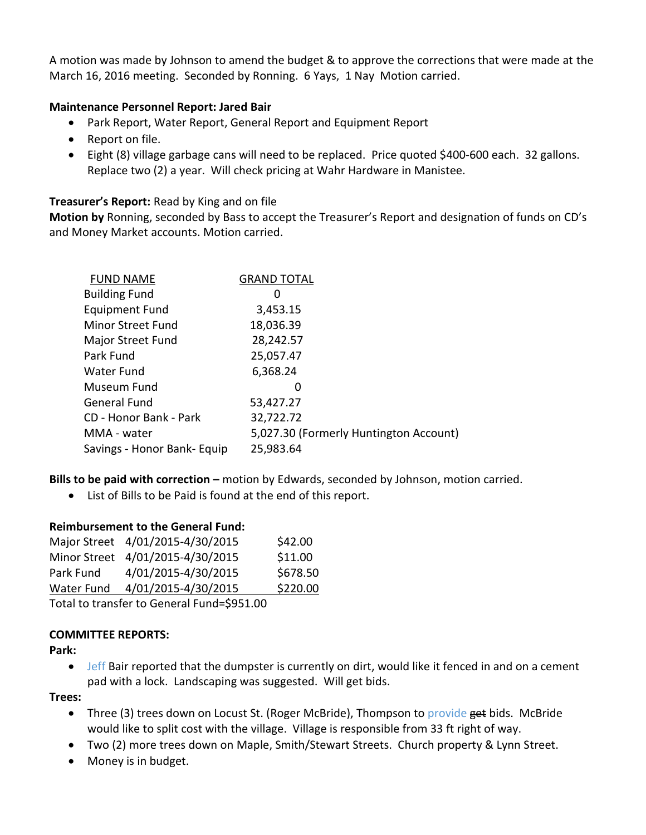A motion was made by Johnson to amend the budget & to approve the corrections that were made at the March 16, 2016 meeting. Seconded by Ronning. 6 Yays, 1 Nay Motion carried.

#### **Maintenance Personnel Report: Jared Bair**

- Park Report, Water Report, General Report and Equipment Report
- Report on file.
- Eight (8) village garbage cans will need to be replaced. Price quoted \$400-600 each. 32 gallons. Replace two (2) a year. Will check pricing at Wahr Hardware in Manistee.

#### **Treasurer's Report:** Read by King and on file

**Motion by** Ronning, seconded by Bass to accept the Treasurer's Report and designation of funds on CD's and Money Market accounts. Motion carried.

| <b>GRAND TOTAL</b>                       |
|------------------------------------------|
| $\Omega$                                 |
| 3,453.15                                 |
| 18,036.39                                |
| 28,242.57                                |
| 25,057.47                                |
| 6,368.24                                 |
|                                          |
| 53,427.27                                |
| 32,722.72                                |
| 5,027.30 (Formerly Huntington Account)   |
| Savings - Honor Bank- Equip<br>25,983.64 |
|                                          |

**Bills to be paid with correction –** motion by Edwards, seconded by Johnson, motion carried.

List of Bills to be Paid is found at the end of this report.

#### **Reimbursement to the General Fund:**

|            | Major Street 4/01/2015-4/30/2015 | \$42.00  |
|------------|----------------------------------|----------|
|            | Minor Street 4/01/2015-4/30/2015 | \$11.00  |
| Park Fund  | 4/01/2015-4/30/2015              | \$678.50 |
| Water Fund | 4/01/2015-4/30/2015              | \$220.00 |
|            |                                  |          |

Total to transfer to General Fund=\$951.00

#### **COMMITTEE REPORTS:**

**Park:** 

• Jeff Bair reported that the dumpster is currently on dirt, would like it fenced in and on a cement pad with a lock. Landscaping was suggested. Will get bids.

**Trees:** 

- Three (3) trees down on Locust St. (Roger McBride), Thompson to provide get bids. McBride would like to split cost with the village. Village is responsible from 33 ft right of way.
- Two (2) more trees down on Maple, Smith/Stewart Streets. Church property & Lynn Street.
- Money is in budget.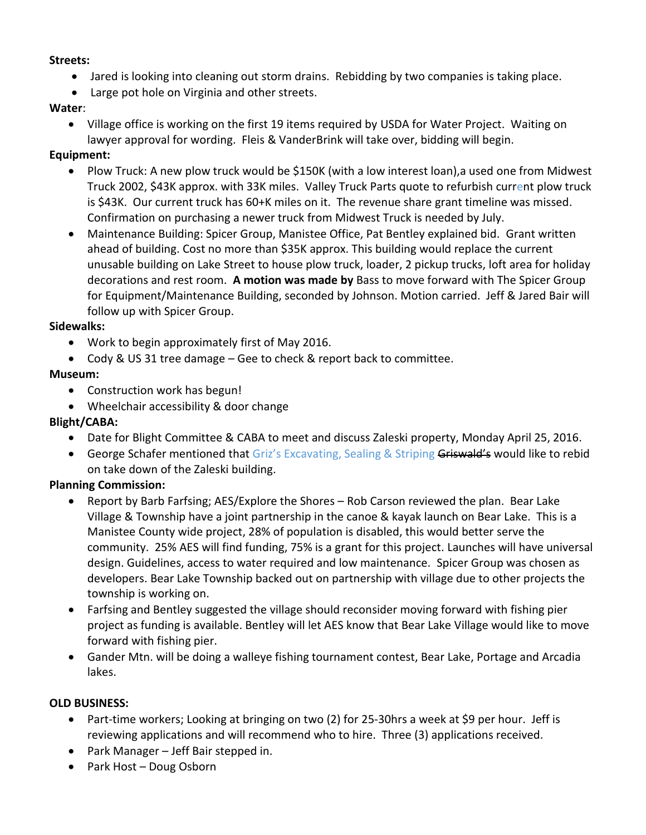#### **Streets:**

- Jared is looking into cleaning out storm drains. Rebidding by two companies is taking place.
- Large pot hole on Virginia and other streets.

# **Water**:

 Village office is working on the first 19 items required by USDA for Water Project. Waiting on lawyer approval for wording. Fleis & VanderBrink will take over, bidding will begin.

# **Equipment:**

- Plow Truck: A new plow truck would be \$150K (with a low interest loan), a used one from Midwest Truck 2002, \$43K approx. with 33K miles. Valley Truck Parts quote to refurbish current plow truck is \$43K. Our current truck has 60+K miles on it. The revenue share grant timeline was missed. Confirmation on purchasing a newer truck from Midwest Truck is needed by July.
- Maintenance Building: Spicer Group, Manistee Office, Pat Bentley explained bid. Grant written ahead of building. Cost no more than \$35K approx. This building would replace the current unusable building on Lake Street to house plow truck, loader, 2 pickup trucks, loft area for holiday decorations and rest room. **A motion was made by** Bass to move forward with The Spicer Group for Equipment/Maintenance Building, seconded by Johnson. Motion carried. Jeff & Jared Bair will follow up with Spicer Group.

#### **Sidewalks:**

- Work to begin approximately first of May 2016.
- Cody & US 31 tree damage Gee to check & report back to committee.

## **Museum:**

- Construction work has begun!
- Wheelchair accessibility & door change

# **Blight/CABA:**

- Date for Blight Committee & CABA to meet and discuss Zaleski property, Monday April 25, 2016.
- **•** George Schafer mentioned that Griz's Excavating, Sealing & Striping Griswald's would like to rebid on take down of the Zaleski building.

# **Planning Commission:**

- Report by Barb Farfsing; AES/Explore the Shores Rob Carson reviewed the plan. Bear Lake Village & Township have a joint partnership in the canoe & kayak launch on Bear Lake. This is a Manistee County wide project, 28% of population is disabled, this would better serve the community. 25% AES will find funding, 75% is a grant for this project. Launches will have universal design. Guidelines, access to water required and low maintenance. Spicer Group was chosen as developers. Bear Lake Township backed out on partnership with village due to other projects the township is working on.
- Farfsing and Bentley suggested the village should reconsider moving forward with fishing pier project as funding is available. Bentley will let AES know that Bear Lake Village would like to move forward with fishing pier.
- Gander Mtn. will be doing a walleye fishing tournament contest, Bear Lake, Portage and Arcadia lakes.

#### **OLD BUSINESS:**

- Part-time workers; Looking at bringing on two (2) for 25-30hrs a week at \$9 per hour. Jeff is reviewing applications and will recommend who to hire. Three (3) applications received.
- Park Manager Jeff Bair stepped in.
- Park Host Doug Osborn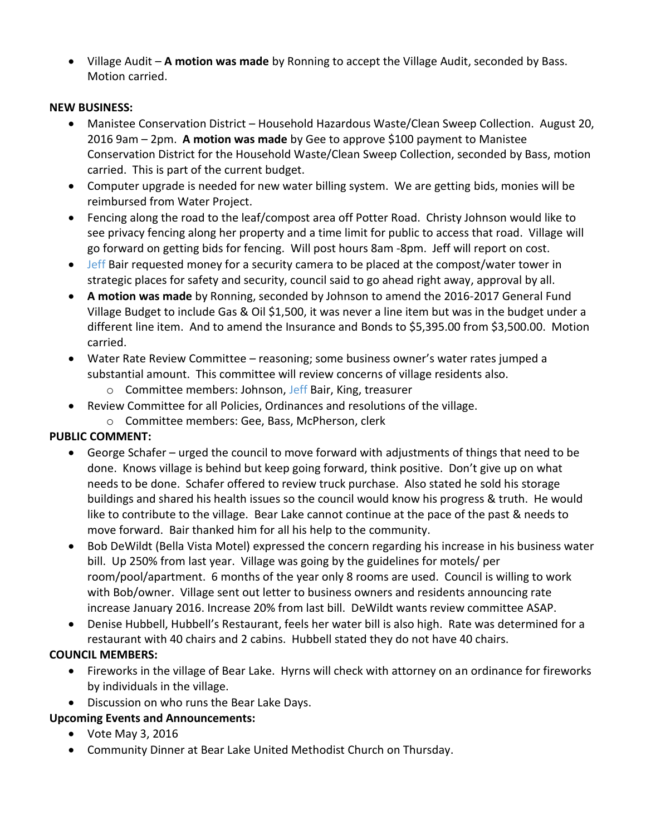Village Audit – **A motion was made** by Ronning to accept the Village Audit, seconded by Bass. Motion carried.

## **NEW BUSINESS:**

- Manistee Conservation District Household Hazardous Waste/Clean Sweep Collection. August 20, 2016 9am – 2pm. **A motion was made** by Gee to approve \$100 payment to Manistee Conservation District for the Household Waste/Clean Sweep Collection, seconded by Bass, motion carried. This is part of the current budget.
- Computer upgrade is needed for new water billing system. We are getting bids, monies will be reimbursed from Water Project.
- Fencing along the road to the leaf/compost area off Potter Road. Christy Johnson would like to see privacy fencing along her property and a time limit for public to access that road. Village will go forward on getting bids for fencing. Will post hours 8am -8pm. Jeff will report on cost.
- Jeff Bair requested money for a security camera to be placed at the compost/water tower in strategic places for safety and security, council said to go ahead right away, approval by all.
- **A motion was made** by Ronning, seconded by Johnson to amend the 2016-2017 General Fund Village Budget to include Gas & Oil \$1,500, it was never a line item but was in the budget under a different line item. And to amend the Insurance and Bonds to \$5,395.00 from \$3,500.00. Motion carried.
- Water Rate Review Committee reasoning; some business owner's water rates jumped a substantial amount. This committee will review concerns of village residents also.
	- o Committee members: Johnson, Jeff Bair, King, treasurer
- Review Committee for all Policies, Ordinances and resolutions of the village.
	- o Committee members: Gee, Bass, McPherson, clerk

# **PUBLIC COMMENT:**

- George Schafer urged the council to move forward with adjustments of things that need to be done. Knows village is behind but keep going forward, think positive. Don't give up on what needs to be done. Schafer offered to review truck purchase. Also stated he sold his storage buildings and shared his health issues so the council would know his progress & truth. He would like to contribute to the village. Bear Lake cannot continue at the pace of the past & needs to move forward. Bair thanked him for all his help to the community.
- Bob DeWildt (Bella Vista Motel) expressed the concern regarding his increase in his business water bill. Up 250% from last year. Village was going by the guidelines for motels/ per room/pool/apartment. 6 months of the year only 8 rooms are used. Council is willing to work with Bob/owner. Village sent out letter to business owners and residents announcing rate increase January 2016. Increase 20% from last bill. DeWildt wants review committee ASAP.
- Denise Hubbell, Hubbell's Restaurant, feels her water bill is also high. Rate was determined for a restaurant with 40 chairs and 2 cabins. Hubbell stated they do not have 40 chairs.

# **COUNCIL MEMBERS:**

- Fireworks in the village of Bear Lake. Hyrns will check with attorney on an ordinance for fireworks by individuals in the village.
- Discussion on who runs the Bear Lake Days.

# **Upcoming Events and Announcements:**

- Vote May 3, 2016
- Community Dinner at Bear Lake United Methodist Church on Thursday.